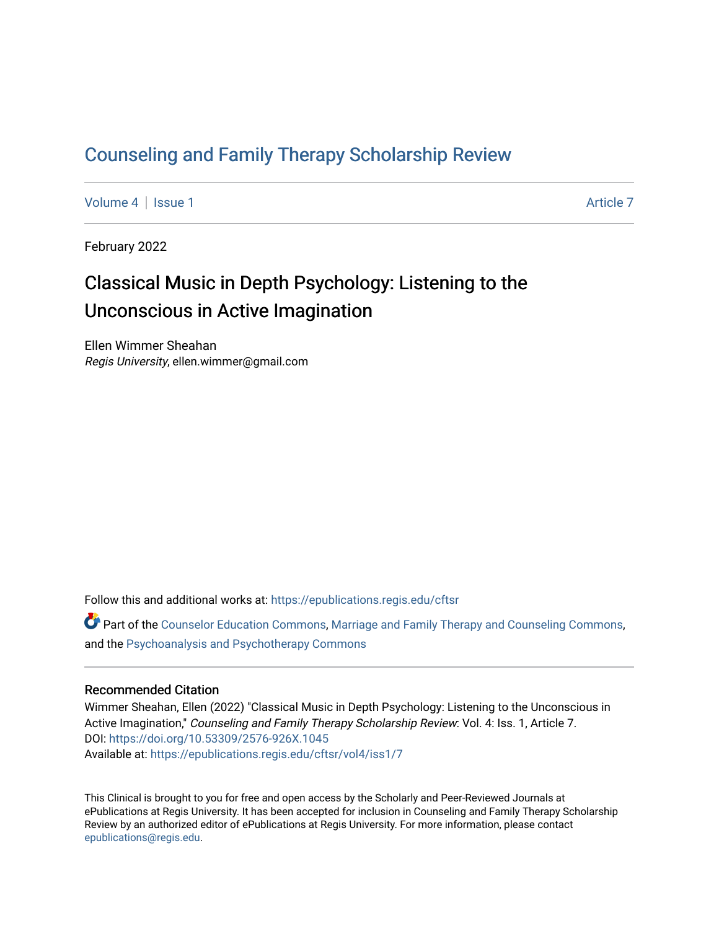## [Counseling and Family Therapy Scholarship Review](https://epublications.regis.edu/cftsr)

[Volume 4](https://epublications.regis.edu/cftsr/vol4) | [Issue 1](https://epublications.regis.edu/cftsr/vol4/iss1) [Article 7](https://epublications.regis.edu/cftsr/vol4/iss1/7) Article 7 Article 7 Article 7 Article 7 Article 7 Article 7 Article 7 Article 7 Article 7 Article 7 Article 7 Article 7 Article 7 Article 7 Article 7 Article 7 Article 7 Article 7 Article 7 Art

February 2022

# Classical Music in Depth Psychology: Listening to the Unconscious in Active Imagination

Ellen Wimmer Sheahan Regis University, ellen.wimmer@gmail.com

Follow this and additional works at: [https://epublications.regis.edu/cftsr](https://epublications.regis.edu/cftsr?utm_source=epublications.regis.edu%2Fcftsr%2Fvol4%2Fiss1%2F7&utm_medium=PDF&utm_campaign=PDFCoverPages) 

Part of the [Counselor Education Commons,](http://network.bepress.com/hgg/discipline/1278?utm_source=epublications.regis.edu%2Fcftsr%2Fvol4%2Fiss1%2F7&utm_medium=PDF&utm_campaign=PDFCoverPages) [Marriage and Family Therapy and Counseling Commons,](http://network.bepress.com/hgg/discipline/715?utm_source=epublications.regis.edu%2Fcftsr%2Fvol4%2Fiss1%2F7&utm_medium=PDF&utm_campaign=PDFCoverPages) and the [Psychoanalysis and Psychotherapy Commons](http://network.bepress.com/hgg/discipline/716?utm_source=epublications.regis.edu%2Fcftsr%2Fvol4%2Fiss1%2F7&utm_medium=PDF&utm_campaign=PDFCoverPages)

## Recommended Citation

Wimmer Sheahan, Ellen (2022) "Classical Music in Depth Psychology: Listening to the Unconscious in Active Imagination," Counseling and Family Therapy Scholarship Review: Vol. 4: Iss. 1, Article 7. DOI:<https://doi.org/10.53309/2576-926X.1045> Available at: [https://epublications.regis.edu/cftsr/vol4/iss1/7](https://epublications.regis.edu/cftsr/vol4/iss1/7?utm_source=epublications.regis.edu%2Fcftsr%2Fvol4%2Fiss1%2F7&utm_medium=PDF&utm_campaign=PDFCoverPages)

This Clinical is brought to you for free and open access by the Scholarly and Peer-Reviewed Journals at ePublications at Regis University. It has been accepted for inclusion in Counseling and Family Therapy Scholarship Review by an authorized editor of ePublications at Regis University. For more information, please contact [epublications@regis.edu.](mailto:epublications@regis.edu)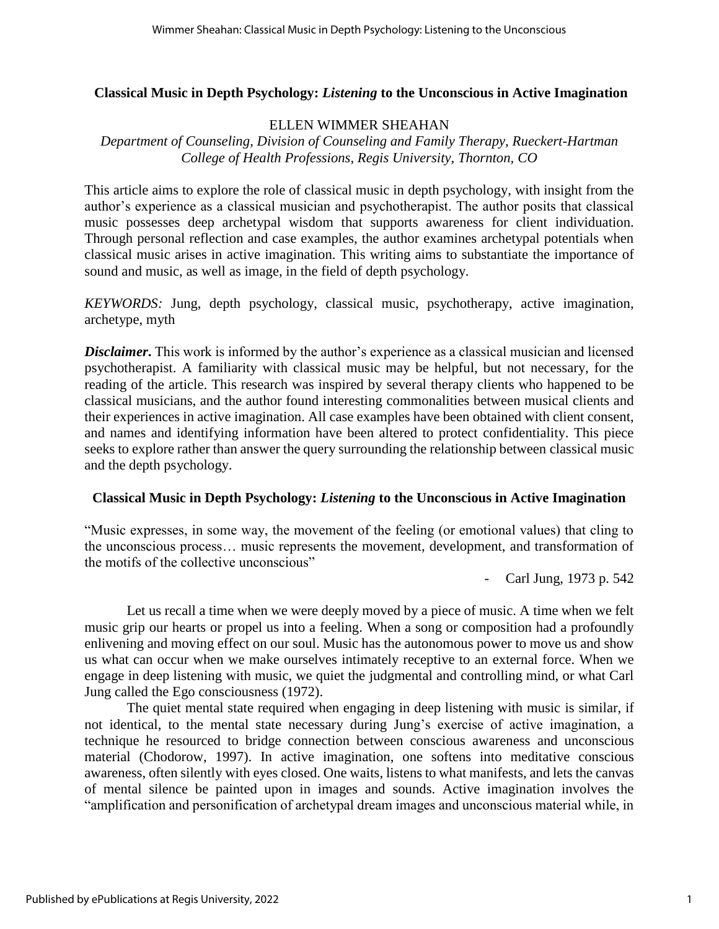## **Classical Music in Depth Psychology:** *Listening* **to the Unconscious in Active Imagination**

## ELLEN WIMMER SHEAHAN

## *Department of Counseling, Division of Counseling and Family Therapy, Rueckert-Hartman College of Health Professions, Regis University, Thornton, CO*

This article aims to explore the role of classical music in depth psychology, with insight from the author's experience as a classical musician and psychotherapist. The author posits that classical music possesses deep archetypal wisdom that supports awareness for client individuation. Through personal reflection and case examples, the author examines archetypal potentials when classical music arises in active imagination. This writing aims to substantiate the importance of sound and music, as well as image, in the field of depth psychology.

*KEYWORDS:* Jung, depth psychology, classical music, psychotherapy, active imagination, archetype, myth

*Disclaimer*. This work is informed by the author's experience as a classical musician and licensed psychotherapist. A familiarity with classical music may be helpful, but not necessary, for the reading of the article. This research was inspired by several therapy clients who happened to be classical musicians, and the author found interesting commonalities between musical clients and their experiences in active imagination. All case examples have been obtained with client consent, and names and identifying information have been altered to protect confidentiality. This piece seeks to explore rather than answer the query surrounding the relationship between classical music and the depth psychology.

## **Classical Music in Depth Psychology:** *Listening* **to the Unconscious in Active Imagination**

"Music expresses, in some way, the movement of the feeling (or emotional values) that cling to the unconscious process… music represents the movement, development, and transformation of the motifs of the collective unconscious"

- Carl Jung, 1973 p. 542

Let us recall a time when we were deeply moved by a piece of music. A time when we felt music grip our hearts or propel us into a feeling. When a song or composition had a profoundly enlivening and moving effect on our soul. Music has the autonomous power to move us and show us what can occur when we make ourselves intimately receptive to an external force. When we engage in deep listening with music, we quiet the judgmental and controlling mind, or what Carl Jung called the Ego consciousness (1972).

The quiet mental state required when engaging in deep listening with music is similar, if not identical, to the mental state necessary during Jung's exercise of active imagination, a technique he resourced to bridge connection between conscious awareness and unconscious material (Chodorow, 1997). In active imagination, one softens into meditative conscious awareness, often silently with eyes closed. One waits, listens to what manifests, and lets the canvas of mental silence be painted upon in images and sounds. Active imagination involves the "amplification and personification of archetypal dream images and unconscious material while, in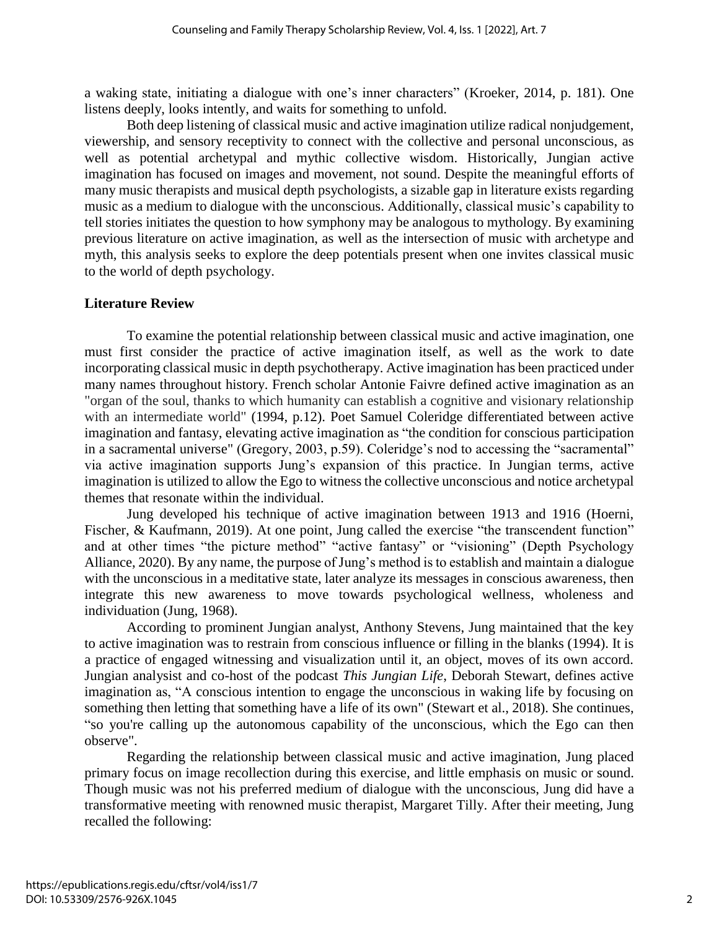a waking state, initiating a dialogue with one's inner characters" (Kroeker, 2014, p. 181). One listens deeply, looks intently, and waits for something to unfold.

Both deep listening of classical music and active imagination utilize radical nonjudgement, viewership, and sensory receptivity to connect with the collective and personal unconscious, as well as potential archetypal and mythic collective wisdom. Historically, Jungian active imagination has focused on images and movement, not sound. Despite the meaningful efforts of many music therapists and musical depth psychologists, a sizable gap in literature exists regarding music as a medium to dialogue with the unconscious. Additionally, classical music's capability to tell stories initiates the question to how symphony may be analogous to mythology. By examining previous literature on active imagination, as well as the intersection of music with archetype and myth, this analysis seeks to explore the deep potentials present when one invites classical music to the world of depth psychology.

## **Literature Review**

To examine the potential relationship between classical music and active imagination, one must first consider the practice of active imagination itself, as well as the work to date incorporating classical music in depth psychotherapy. Active imagination has been practiced under many names throughout history. French scholar Antonie Faivre defined active imagination as an "organ of the soul, thanks to which humanity can establish a cognitive and visionary relationship with an intermediate world" (1994, p.12). Poet Samuel Coleridge differentiated between active imagination and fantasy, elevating active imagination as "the condition for conscious participation in a sacramental universe" (Gregory, 2003, p.59). Coleridge's nod to accessing the "sacramental" via active imagination supports Jung's expansion of this practice. In Jungian terms, active imagination is utilized to allow the Ego to witness the collective unconscious and notice archetypal themes that resonate within the individual.

Jung developed his technique of active imagination between 1913 and 1916 (Hoerni, Fischer, & Kaufmann, 2019). At one point, Jung called the exercise "the transcendent function" and at other times "the picture method" "active fantasy" or "visioning" (Depth Psychology Alliance, 2020). By any name, the purpose of Jung's method is to establish and maintain a dialogue with the unconscious in a meditative state, later analyze its messages in conscious awareness, then integrate this new awareness to move towards psychological wellness, wholeness and individuation (Jung, 1968).

According to prominent Jungian analyst, Anthony Stevens, Jung maintained that the key to active imagination was to restrain from conscious influence or filling in the blanks (1994). It is a practice of engaged witnessing and visualization until it, an object, moves of its own accord. Jungian analysist and co-host of the podcast *This Jungian Life*, Deborah Stewart, defines active imagination as, "A conscious intention to engage the unconscious in waking life by focusing on something then letting that something have a life of its own" (Stewart et al., 2018). She continues, "so you're calling up the autonomous capability of the unconscious, which the Ego can then observe".

Regarding the relationship between classical music and active imagination, Jung placed primary focus on image recollection during this exercise, and little emphasis on music or sound. Though music was not his preferred medium of dialogue with the unconscious, Jung did have a transformative meeting with renowned music therapist, Margaret Tilly. After their meeting, Jung recalled the following: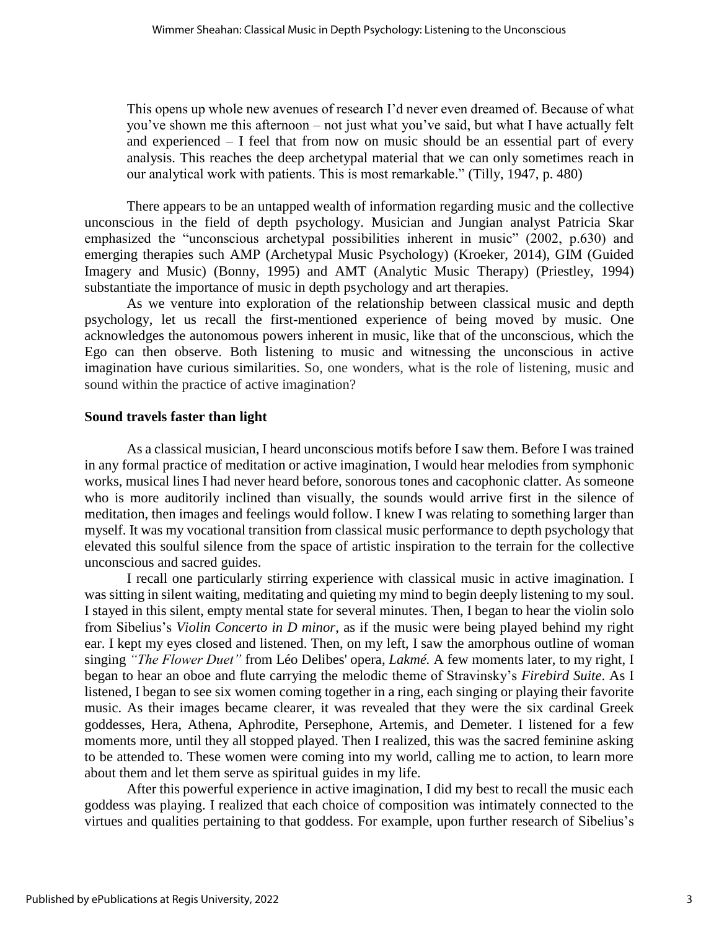This opens up whole new avenues of research I'd never even dreamed of. Because of what you've shown me this afternoon – not just what you've said, but what I have actually felt and experienced – I feel that from now on music should be an essential part of every analysis. This reaches the deep archetypal material that we can only sometimes reach in our analytical work with patients. This is most remarkable." (Tilly, 1947, p. 480)

There appears to be an untapped wealth of information regarding music and the collective unconscious in the field of depth psychology. Musician and Jungian analyst Patricia Skar emphasized the "unconscious archetypal possibilities inherent in music" (2002, p.630) and emerging therapies such AMP (Archetypal Music Psychology) (Kroeker, 2014), GIM (Guided Imagery and Music) (Bonny, 1995) and AMT (Analytic Music Therapy) (Priestley, 1994) substantiate the importance of music in depth psychology and art therapies.

As we venture into exploration of the relationship between classical music and depth psychology, let us recall the first-mentioned experience of being moved by music. One acknowledges the autonomous powers inherent in music, like that of the unconscious, which the Ego can then observe. Both listening to music and witnessing the unconscious in active imagination have curious similarities. So, one wonders, what is the role of listening, music and sound within the practice of active imagination?

## **Sound travels faster than light**

As a classical musician, I heard unconscious motifs before I saw them. Before I was trained in any formal practice of meditation or active imagination, I would hear melodies from symphonic works, musical lines I had never heard before, sonorous tones and cacophonic clatter. As someone who is more auditorily inclined than visually, the sounds would arrive first in the silence of meditation, then images and feelings would follow. I knew I was relating to something larger than myself. It was my vocational transition from classical music performance to depth psychology that elevated this soulful silence from the space of artistic inspiration to the terrain for the collective unconscious and sacred guides.

I recall one particularly stirring experience with classical music in active imagination. I was sitting in silent waiting, meditating and quieting my mind to begin deeply listening to my soul. I stayed in this silent, empty mental state for several minutes. Then, I began to hear the violin solo from Sibelius's *Violin Concerto in D minor*, as if the music were being played behind my right ear. I kept my eyes closed and listened. Then, on my left, I saw the amorphous outline of woman singing *"The Flower Duet"* from Léo Delibes' opera, *Lakmé.* A few moments later, to my right, I began to hear an oboe and flute carrying the melodic theme of Stravinsky's *Firebird Suite*. As I listened, I began to see six women coming together in a ring, each singing or playing their favorite music. As their images became clearer, it was revealed that they were the six cardinal Greek goddesses, Hera, Athena, Aphrodite, Persephone, Artemis, and Demeter. I listened for a few moments more, until they all stopped played. Then I realized, this was the sacred feminine asking to be attended to. These women were coming into my world, calling me to action, to learn more about them and let them serve as spiritual guides in my life.

After this powerful experience in active imagination, I did my best to recall the music each goddess was playing. I realized that each choice of composition was intimately connected to the virtues and qualities pertaining to that goddess. For example, upon further research of Sibelius's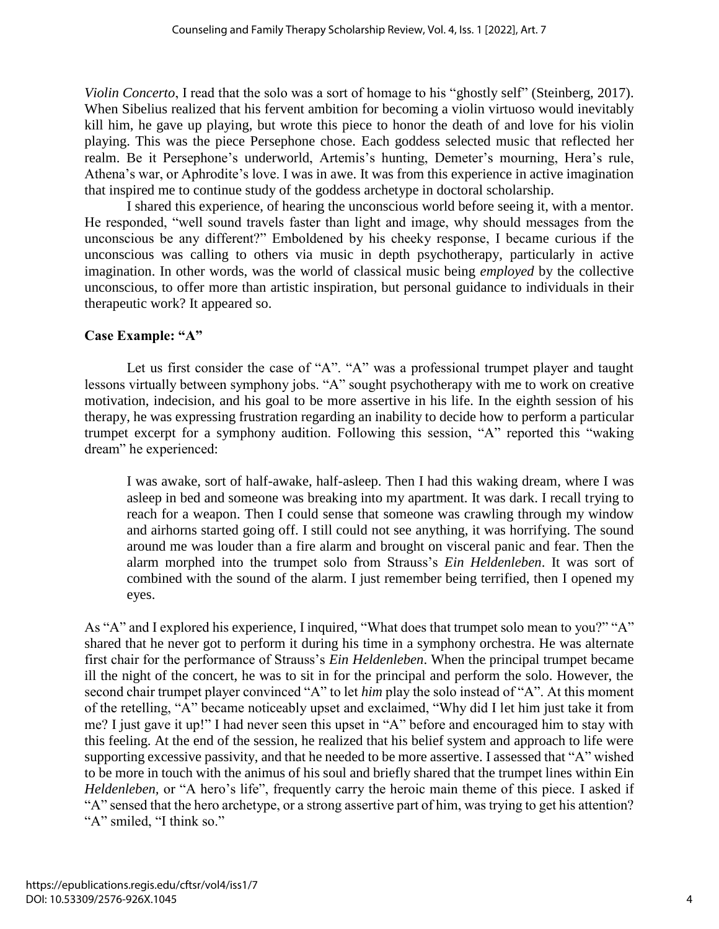*Violin Concerto*, I read that the solo was a sort of homage to his "ghostly self" (Steinberg, 2017). When Sibelius realized that his fervent ambition for becoming a violin virtuoso would inevitably kill him, he gave up playing, but wrote this piece to honor the death of and love for his violin playing. This was the piece Persephone chose. Each goddess selected music that reflected her realm. Be it Persephone's underworld, Artemis's hunting, Demeter's mourning, Hera's rule, Athena's war, or Aphrodite's love. I was in awe. It was from this experience in active imagination that inspired me to continue study of the goddess archetype in doctoral scholarship.

I shared this experience, of hearing the unconscious world before seeing it, with a mentor. He responded, "well sound travels faster than light and image, why should messages from the unconscious be any different?" Emboldened by his cheeky response, I became curious if the unconscious was calling to others via music in depth psychotherapy, particularly in active imagination. In other words, was the world of classical music being *employed* by the collective unconscious, to offer more than artistic inspiration, but personal guidance to individuals in their therapeutic work? It appeared so.

## **Case Example: "A"**

Let us first consider the case of "A". "A" was a professional trumpet player and taught lessons virtually between symphony jobs. "A" sought psychotherapy with me to work on creative motivation, indecision, and his goal to be more assertive in his life. In the eighth session of his therapy, he was expressing frustration regarding an inability to decide how to perform a particular trumpet excerpt for a symphony audition. Following this session, "A" reported this "waking dream" he experienced:

I was awake, sort of half-awake, half-asleep. Then I had this waking dream, where I was asleep in bed and someone was breaking into my apartment. It was dark. I recall trying to reach for a weapon. Then I could sense that someone was crawling through my window and airhorns started going off. I still could not see anything, it was horrifying. The sound around me was louder than a fire alarm and brought on visceral panic and fear. Then the alarm morphed into the trumpet solo from Strauss's *Ein Heldenleben*. It was sort of combined with the sound of the alarm. I just remember being terrified, then I opened my eyes.

As "A" and I explored his experience, I inquired, "What does that trumpet solo mean to you?" "A" shared that he never got to perform it during his time in a symphony orchestra. He was alternate first chair for the performance of Strauss's *Ein Heldenleben*. When the principal trumpet became ill the night of the concert, he was to sit in for the principal and perform the solo. However, the second chair trumpet player convinced "A" to let *him* play the solo instead of "A". At this moment of the retelling, "A" became noticeably upset and exclaimed, "Why did I let him just take it from me? I just gave it up!" I had never seen this upset in "A" before and encouraged him to stay with this feeling. At the end of the session, he realized that his belief system and approach to life were supporting excessive passivity, and that he needed to be more assertive. I assessed that "A" wished to be more in touch with the animus of his soul and briefly shared that the trumpet lines within Ein *Heldenleben,* or "A hero's life", frequently carry the heroic main theme of this piece. I asked if "A" sensed that the hero archetype, or a strong assertive part of him, was trying to get his attention? "A" smiled, "I think so."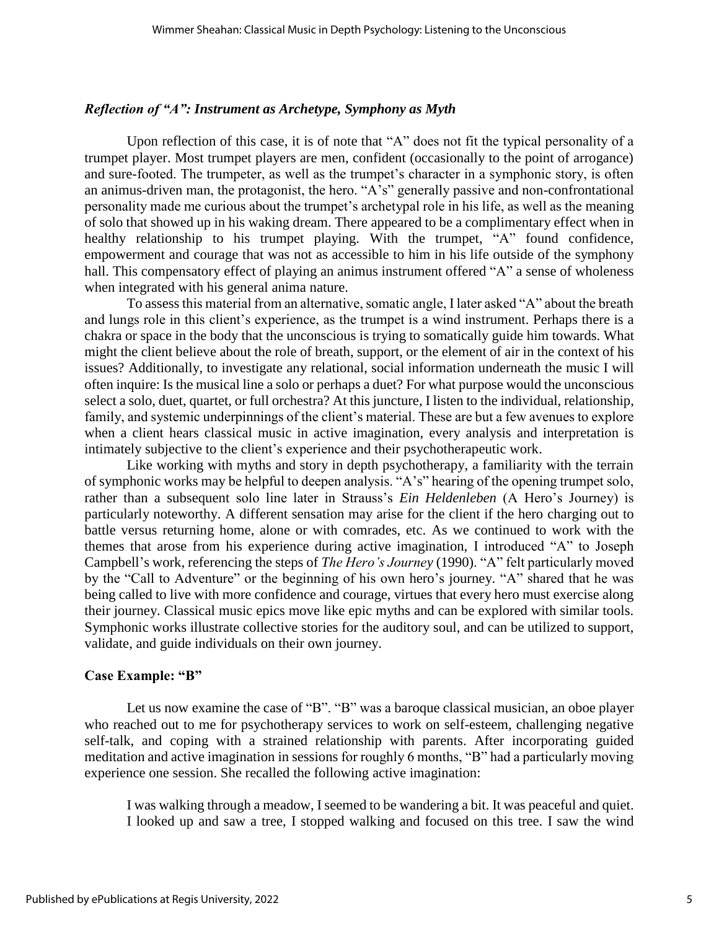#### *Reflection of "A": Instrument as Archetype, Symphony as Myth*

Upon reflection of this case, it is of note that "A" does not fit the typical personality of a trumpet player. Most trumpet players are men, confident (occasionally to the point of arrogance) and sure-footed. The trumpeter, as well as the trumpet's character in a symphonic story, is often an animus-driven man, the protagonist, the hero. "A's" generally passive and non-confrontational personality made me curious about the trumpet's archetypal role in his life, as well as the meaning of solo that showed up in his waking dream. There appeared to be a complimentary effect when in healthy relationship to his trumpet playing. With the trumpet, "A" found confidence, empowerment and courage that was not as accessible to him in his life outside of the symphony hall. This compensatory effect of playing an animus instrument offered "A" a sense of wholeness when integrated with his general anima nature.

To assessthis material from an alternative, somatic angle, I later asked "A" about the breath and lungs role in this client's experience, as the trumpet is a wind instrument. Perhaps there is a chakra or space in the body that the unconscious is trying to somatically guide him towards. What might the client believe about the role of breath, support, or the element of air in the context of his issues? Additionally, to investigate any relational, social information underneath the music I will often inquire: Is the musical line a solo or perhaps a duet? For what purpose would the unconscious select a solo, duet, quartet, or full orchestra? At this juncture, I listen to the individual, relationship, family, and systemic underpinnings of the client's material. These are but a few avenues to explore when a client hears classical music in active imagination, every analysis and interpretation is intimately subjective to the client's experience and their psychotherapeutic work.

Like working with myths and story in depth psychotherapy, a familiarity with the terrain of symphonic works may be helpful to deepen analysis. "A's" hearing of the opening trumpet solo, rather than a subsequent solo line later in Strauss's *Ein Heldenleben* (A Hero's Journey) is particularly noteworthy. A different sensation may arise for the client if the hero charging out to battle versus returning home, alone or with comrades, etc. As we continued to work with the themes that arose from his experience during active imagination, I introduced "A" to Joseph Campbell's work, referencing the steps of *The Hero's Journey* (1990). "A" felt particularly moved by the "Call to Adventure" or the beginning of his own hero's journey. "A" shared that he was being called to live with more confidence and courage, virtues that every hero must exercise along their journey. Classical music epics move like epic myths and can be explored with similar tools. Symphonic works illustrate collective stories for the auditory soul, and can be utilized to support, validate, and guide individuals on their own journey.

#### **Case Example: "B"**

Let us now examine the case of "B". "B" was a baroque classical musician, an oboe player who reached out to me for psychotherapy services to work on self-esteem, challenging negative self-talk, and coping with a strained relationship with parents. After incorporating guided meditation and active imagination in sessions for roughly 6 months, "B" had a particularly moving experience one session. She recalled the following active imagination:

I was walking through a meadow, I seemed to be wandering a bit. It was peaceful and quiet. I looked up and saw a tree, I stopped walking and focused on this tree. I saw the wind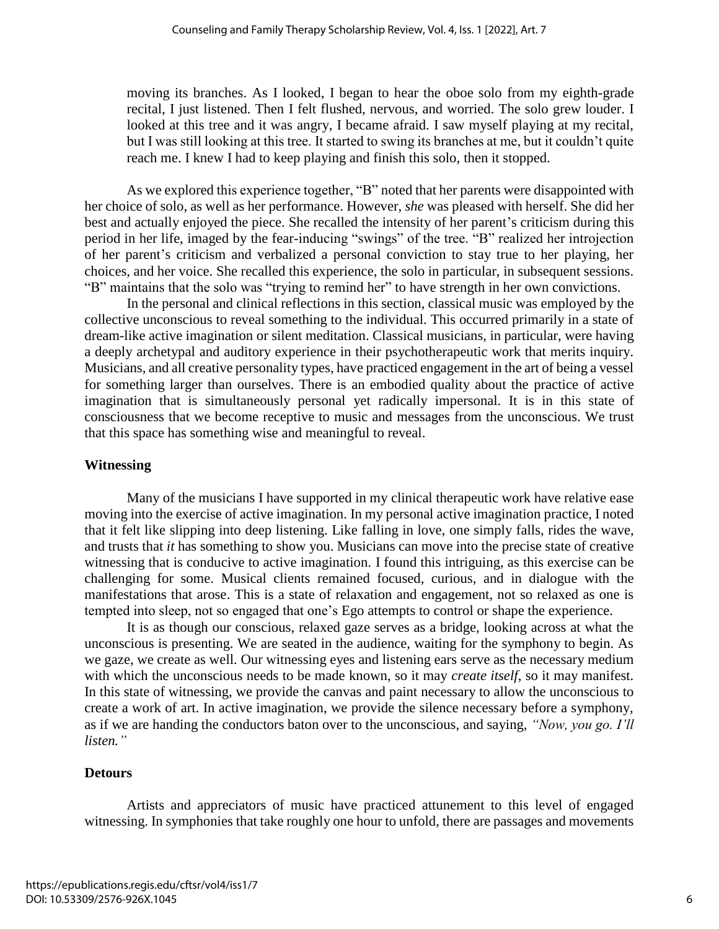moving its branches. As I looked, I began to hear the oboe solo from my eighth-grade recital, I just listened. Then I felt flushed, nervous, and worried. The solo grew louder. I looked at this tree and it was angry, I became afraid. I saw myself playing at my recital, but I was still looking at this tree. It started to swing its branches at me, but it couldn't quite reach me. I knew I had to keep playing and finish this solo, then it stopped.

As we explored this experience together, "B" noted that her parents were disappointed with her choice of solo, as well as her performance. However, *she* was pleased with herself. She did her best and actually enjoyed the piece. She recalled the intensity of her parent's criticism during this period in her life, imaged by the fear-inducing "swings" of the tree. "B" realized her introjection of her parent's criticism and verbalized a personal conviction to stay true to her playing, her choices, and her voice. She recalled this experience, the solo in particular, in subsequent sessions. "B" maintains that the solo was "trying to remind her" to have strength in her own convictions.

In the personal and clinical reflections in this section, classical music was employed by the collective unconscious to reveal something to the individual. This occurred primarily in a state of dream-like active imagination or silent meditation. Classical musicians, in particular, were having a deeply archetypal and auditory experience in their psychotherapeutic work that merits inquiry. Musicians, and all creative personality types, have practiced engagement in the art of being a vessel for something larger than ourselves. There is an embodied quality about the practice of active imagination that is simultaneously personal yet radically impersonal. It is in this state of consciousness that we become receptive to music and messages from the unconscious. We trust that this space has something wise and meaningful to reveal.

## **Witnessing**

Many of the musicians I have supported in my clinical therapeutic work have relative ease moving into the exercise of active imagination. In my personal active imagination practice, I noted that it felt like slipping into deep listening. Like falling in love, one simply falls, rides the wave, and trusts that *it* has something to show you. Musicians can move into the precise state of creative witnessing that is conducive to active imagination. I found this intriguing, as this exercise can be challenging for some. Musical clients remained focused, curious, and in dialogue with the manifestations that arose. This is a state of relaxation and engagement, not so relaxed as one is tempted into sleep, not so engaged that one's Ego attempts to control or shape the experience.

It is as though our conscious, relaxed gaze serves as a bridge, looking across at what the unconscious is presenting. We are seated in the audience, waiting for the symphony to begin. As we gaze, we create as well. Our witnessing eyes and listening ears serve as the necessary medium with which the unconscious needs to be made known, so it may *create itself*, so it may manifest. In this state of witnessing, we provide the canvas and paint necessary to allow the unconscious to create a work of art. In active imagination, we provide the silence necessary before a symphony, as if we are handing the conductors baton over to the unconscious, and saying, *"Now, you go. I'll listen."*

## **Detours**

Artists and appreciators of music have practiced attunement to this level of engaged witnessing. In symphonies that take roughly one hour to unfold, there are passages and movements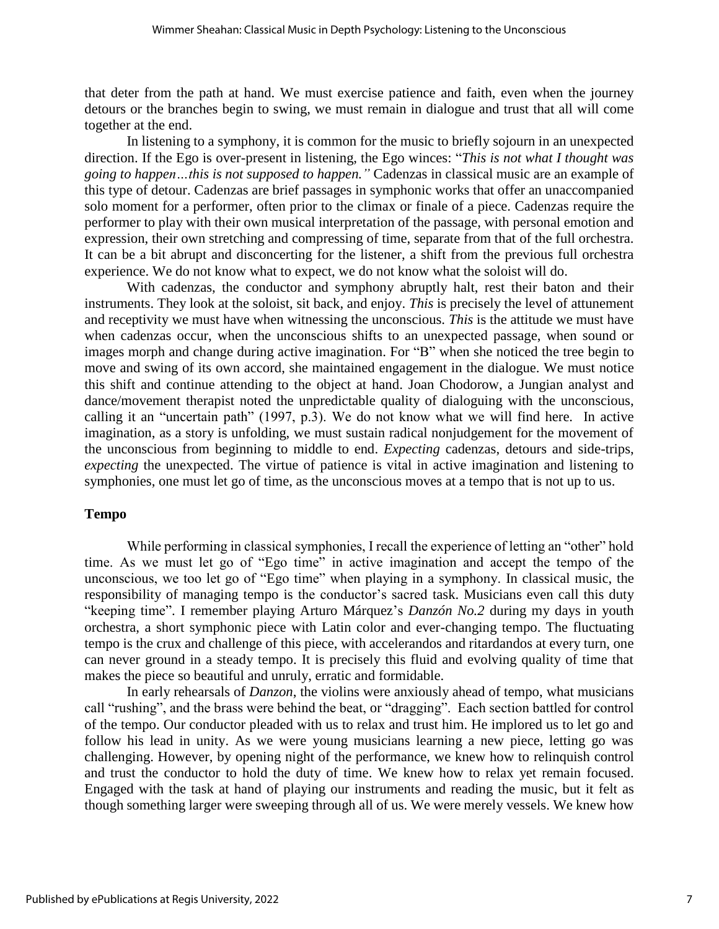that deter from the path at hand. We must exercise patience and faith, even when the journey detours or the branches begin to swing, we must remain in dialogue and trust that all will come together at the end.

In listening to a symphony, it is common for the music to briefly sojourn in an unexpected direction. If the Ego is over-present in listening, the Ego winces: "*This is not what I thought was going to happen…this is not supposed to happen."* Cadenzas in classical music are an example of this type of detour. Cadenzas are brief passages in symphonic works that offer an unaccompanied solo moment for a performer, often prior to the climax or finale of a piece. Cadenzas require the performer to play with their own musical interpretation of the passage, with personal emotion and expression, their own stretching and compressing of time, separate from that of the full orchestra. It can be a bit abrupt and disconcerting for the listener, a shift from the previous full orchestra experience. We do not know what to expect, we do not know what the soloist will do.

With cadenzas, the conductor and symphony abruptly halt, rest their baton and their instruments. They look at the soloist, sit back, and enjoy. *This* is precisely the level of attunement and receptivity we must have when witnessing the unconscious. *This* is the attitude we must have when cadenzas occur, when the unconscious shifts to an unexpected passage, when sound or images morph and change during active imagination. For "B" when she noticed the tree begin to move and swing of its own accord, she maintained engagement in the dialogue. We must notice this shift and continue attending to the object at hand. Joan Chodorow, a Jungian analyst and dance/movement therapist noted the unpredictable quality of dialoguing with the unconscious, calling it an "uncertain path" (1997, p.3). We do not know what we will find here. In active imagination, as a story is unfolding, we must sustain radical nonjudgement for the movement of the unconscious from beginning to middle to end. *Expecting* cadenzas, detours and side-trips, *expecting* the unexpected. The virtue of patience is vital in active imagination and listening to symphonies, one must let go of time, as the unconscious moves at a tempo that is not up to us.

#### **Tempo**

While performing in classical symphonies, I recall the experience of letting an "other" hold time. As we must let go of "Ego time" in active imagination and accept the tempo of the unconscious, we too let go of "Ego time" when playing in a symphony. In classical music, the responsibility of managing tempo is the conductor's sacred task. Musicians even call this duty "keeping time". I remember playing Arturo Márquez's *Danzón No.2* during my days in youth orchestra, a short symphonic piece with Latin color and ever-changing tempo. The fluctuating tempo is the crux and challenge of this piece, with accelerandos and ritardandos at every turn, one can never ground in a steady tempo. It is precisely this fluid and evolving quality of time that makes the piece so beautiful and unruly, erratic and formidable.

In early rehearsals of *Danzon*, the violins were anxiously ahead of tempo, what musicians call "rushing", and the brass were behind the beat, or "dragging". Each section battled for control of the tempo. Our conductor pleaded with us to relax and trust him. He implored us to let go and follow his lead in unity. As we were young musicians learning a new piece, letting go was challenging. However, by opening night of the performance, we knew how to relinquish control and trust the conductor to hold the duty of time. We knew how to relax yet remain focused. Engaged with the task at hand of playing our instruments and reading the music, but it felt as though something larger were sweeping through all of us. We were merely vessels. We knew how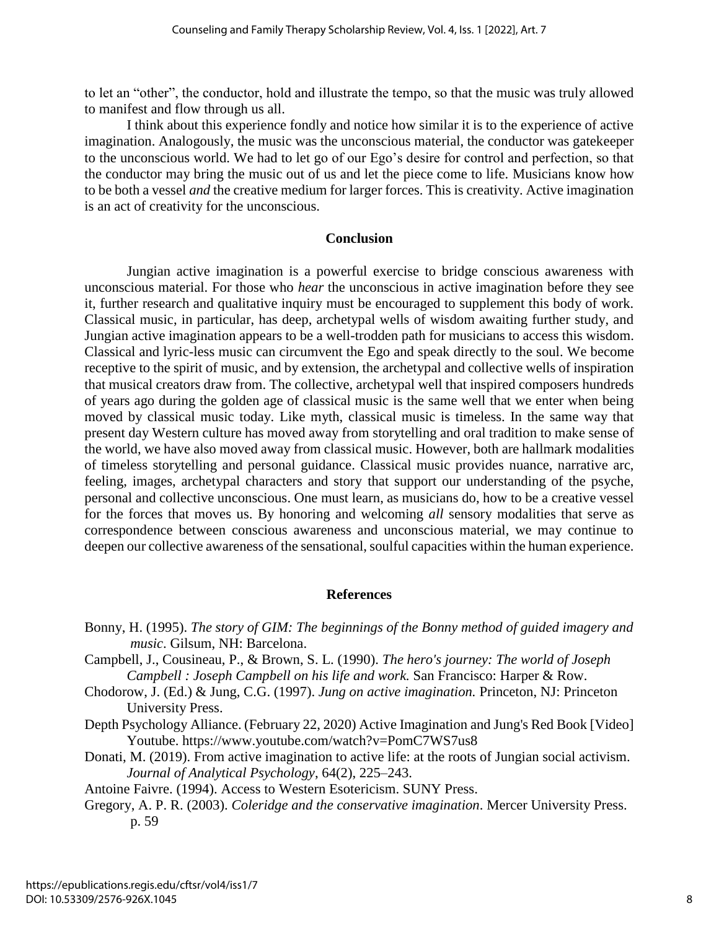to let an "other", the conductor, hold and illustrate the tempo, so that the music was truly allowed to manifest and flow through us all.

I think about this experience fondly and notice how similar it is to the experience of active imagination. Analogously, the music was the unconscious material, the conductor was gatekeeper to the unconscious world. We had to let go of our Ego's desire for control and perfection, so that the conductor may bring the music out of us and let the piece come to life. Musicians know how to be both a vessel *and* the creative medium for larger forces. This is creativity. Active imagination is an act of creativity for the unconscious.

## **Conclusion**

Jungian active imagination is a powerful exercise to bridge conscious awareness with unconscious material. For those who *hear* the unconscious in active imagination before they see it, further research and qualitative inquiry must be encouraged to supplement this body of work. Classical music, in particular, has deep, archetypal wells of wisdom awaiting further study, and Jungian active imagination appears to be a well-trodden path for musicians to access this wisdom. Classical and lyric-less music can circumvent the Ego and speak directly to the soul. We become receptive to the spirit of music, and by extension, the archetypal and collective wells of inspiration that musical creators draw from. The collective, archetypal well that inspired composers hundreds of years ago during the golden age of classical music is the same well that we enter when being moved by classical music today. Like myth, classical music is timeless. In the same way that present day Western culture has moved away from storytelling and oral tradition to make sense of the world, we have also moved away from classical music. However, both are hallmark modalities of timeless storytelling and personal guidance. Classical music provides nuance, narrative arc, feeling, images, archetypal characters and story that support our understanding of the psyche, personal and collective unconscious. One must learn, as musicians do, how to be a creative vessel for the forces that moves us. By honoring and welcoming *all* sensory modalities that serve as correspondence between conscious awareness and unconscious material, we may continue to deepen our collective awareness of the sensational, soulful capacities within the human experience.

## **References**

- Bonny, H. (1995). *The story of GIM: The beginnings of the Bonny method of guided imagery and music*. Gilsum, NH: Barcelona.
- Campbell, J., Cousineau, P., & Brown, S. L. (1990). *The hero's journey: The world of Joseph Campbell : Joseph Campbell on his life and work.* San Francisco: Harper & Row.
- Chodorow, J. (Ed.) & Jung, C.G. (1997). *Jung on active imagination.* Princeton, NJ: Princeton University Press.
- Depth Psychology Alliance. (February 22, 2020) Active Imagination and Jung's Red Book [Video] Youtube.<https://www.youtube.com/watch?v=PomC7WS7us8>
- Donati, M. (2019). From active imagination to active life: at the roots of Jungian social activism. *Journal of Analytical Psychology*, 64(2), 225–243.

Antoine Faivre. (1994). Access to Western Esotericism. SUNY Press.

Gregory, A. P. R. (2003). *Coleridge and the conservative imagination*. Mercer University Press. p. 59